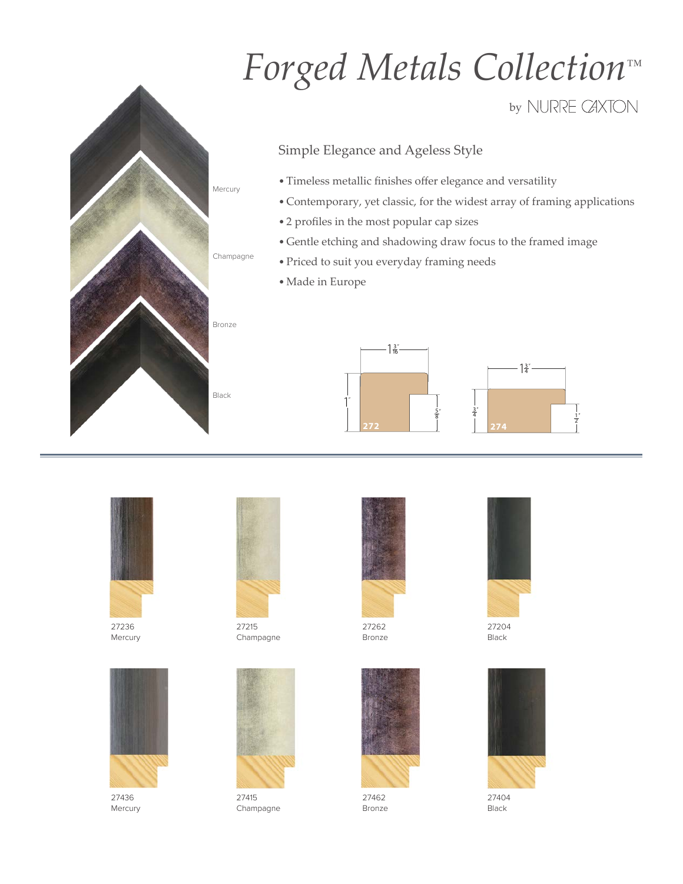## *Forged Metals Collection™*

by NURRE CAXTON

## Simple Elegance and Ageless Style

- Timeless metallic finishes offer elegance and versatility
- Contemporary, yet classic, for the widest array of framing applications
- 2 profiles in the most popular cap sizes
- Gentle etching and shadowing draw focus to the framed image
- Priced to suit you everyday framing needs
- •Made in Europe





27236 Mercury



27436 Mercury



Bronze

Champagne

Mercury

Black

27215 Champagne



27415 Champagne



27262 Bronze



27462 Bronze



27204 Black



27404 Black